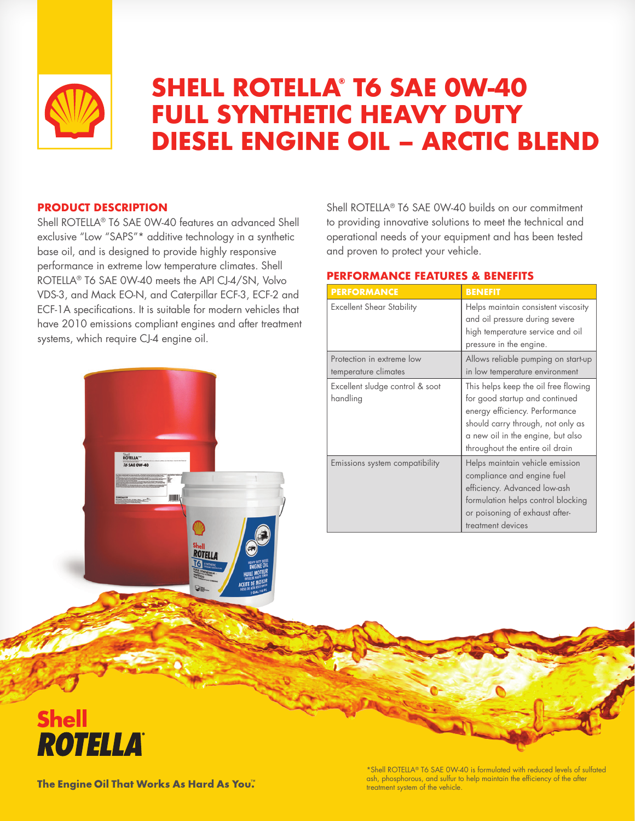

# **SHELL ROTELLA® T6 SAE 0W-40 FULL SYNTHETIC HEAVY DUTY DIESEL ENGINE OIL – ARCTIC BLEND**

# **PRODUCT DESCRIPTION**

Shell ROTELLA® T6 SAE 0W-40 features an advanced Shell exclusive "Low "SAPS"\* additive technology in a synthetic base oil, and is designed to provide highly responsive performance in extreme low temperature climates. Shell ROTELLA® T6 SAE 0W-40 meets the API CJ-4/SN, Volvo VDS-3, and Mack EO-N, and Caterpillar ECF-3, ECF-2 and ECF-1A specifications. It is suitable for modern vehicles that have 2010 emissions compliant engines and after treatment systems, which require CJ-4 engine oil.

**ROTELL** 

ROTELLA"



# **PERFORMANCE FEATURES & BENEFITS**

| <b>PERFORMANCE</b>                                | <b>BENEFIT</b>                                                                                                                                                                                                        |  |
|---------------------------------------------------|-----------------------------------------------------------------------------------------------------------------------------------------------------------------------------------------------------------------------|--|
| <b>Excellent Shear Stability</b>                  | Helps maintain consistent viscosity<br>and oil pressure during severe<br>high temperature service and oil<br>pressure in the engine.                                                                                  |  |
| Protection in extreme low<br>temperature climates | Allows reliable pumping on start-up<br>in low temperature environment                                                                                                                                                 |  |
| Excellent sludge control & soot<br>handling       | This helps keep the oil free flowing<br>for good startup and continued<br>energy efficiency. Performance<br>should carry through, not only as<br>a new oil in the engine, but also<br>throughout the entire oil drain |  |
| Emissions system compatibility                    | Helps maintain vehicle emission<br>compliance and engine fuel<br>efficiency. Advanced low-ash<br>formulation helps control blocking<br>or poisoning of exhaust after-<br>treatment devices                            |  |



The Engine Oil That Works As Hard As You."

\*Shell ROTELLA® T6 SAE 0W-40 is formulated with reduced levels of sulfated ash, phosphorous, and sulfur to help maintain the efficiency of the after treatment system of the vehicle.